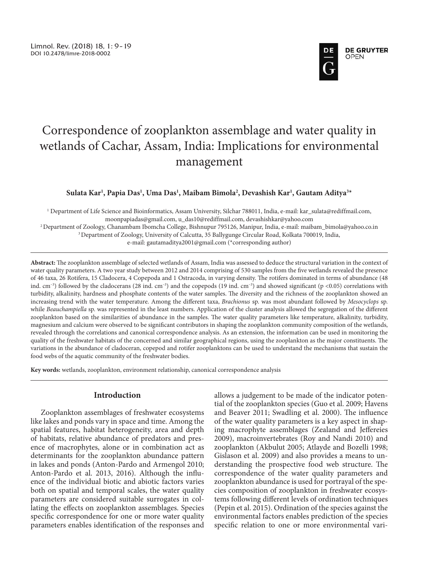Limnol. Rev. (2018) 18, 1: 9–19 DOI 10.2478/limre-2018-0002



# Correspondence of zooplankton assemblage and water quality in wetlands of Cachar, Assam, India: Implications for environmental management

**Sulata Kar<sup>1</sup> , Papia Das<sup>1</sup> , Uma Das<sup>1</sup> , Maibam Bimola<sup>2</sup> , Devashish Kar<sup>1</sup> , Gautam Aditya<sup>3</sup> \***

1 Department of Life Science and Bioinformatics, Assam University, Silchar 788011, India, e-mail: kar\_sulata@rediffmail.com, moonpapiadas@gmail.com, u\_das10@rediffmail.com, devashishkar@yahoo.com <sup>2</sup>Department of Zoology, Chanambam Ibomcha College, Bishnupur 795126, Manipur, India, e-mail: maibam\_bimola@yahoo.co.in <sup>3</sup> Department of Zoology, University of Calcutta, 35 Ballygunge Circular Road, Kolkata 700019, India, e-mail: gautamaditya2001@gmail.com (\*corresponding author)

**Abstract:** The zooplankton assemblage of selected wetlands of Assam, India was assessed to deduce the structural variation in the context of water quality parameters. A two year study between 2012 and 2014 comprising of 530 samples from the five wetlands revealed the presence of 46 taxa, 26 Rotifera, 15 Cladocera, 4 Copepoda and 1 Ostracoda, in varying density. The rotifers dominated in terms of abundance (48 ind. cm<sup>-3</sup>) followed by the cladocerans (28 ind. cm<sup>-3</sup>) and the copepods (19 ind. cm<sup>-3</sup>) and showed significant (p <0.05) correlations with turbidity, alkalinity, hardness and phosphate contents of the water samples. The diversity and the richness of the zooplankton showed an increasing trend with the water temperature. Among the different taxa, Brachionus sp. was most abundant followed by Mesocyclops sp. while Beauchampiella sp. was represented in the least numbers. Application of the cluster analysis allowed the segregation of the different zooplankton based on the similarities of abundance in the samples. The water quality parameters like temperature, alkalinity, turbidity, magnesium and calcium were observed to be significant contributors in shaping the zooplankton community composition of the wetlands, revealed through the correlations and canonical correspondence analysis. As an extension, the information can be used in monitoring the quality of the freshwater habitats of the concerned and similar geographical regions, using the zooplankton as the major constituents. The variations in the abundance of cladoceran, copepod and rotifer zooplanktons can be used to understand the mechanisms that sustain the food webs of the aquatic community of the freshwater bodies.

**Key words:** wetlands, zooplankton, environment relationship, canonical correspondence analysis

## **Introduction**

Zooplankton assemblages of freshwater ecosystems like lakes and ponds vary in space and time. Among the spatial features, habitat heterogeneity, area and depth of habitats, relative abundance of predators and presence of macrophytes, alone or in combination act as determinants for the zooplankton abundance pattern in lakes and ponds (Anton-Pardo and Armengol 2010; Anton-Pardo et al. 2013, 2016). Although the influence of the individual biotic and abiotic factors varies both on spatial and temporal scales, the water quality parameters are considered suitable surrogates in collating the effects on zooplankton assemblages. Species specific correspondence for one or more water quality parameters enables identification of the responses and

allows a judgement to be made of the indicator potential of the zooplankton species (Guo et al. 2009; Havens and Beaver 2011; Swadling et al. 2000). The influence of the water quality parameters is a key aspect in shaping macrophyte assemblages (Zealand and Jeffereies 2009), macroinvertebrates (Roy and Nandi 2010) and zooplankton (Akbulut 2005; Atlayde and Bozelli 1998; Gislason et al. 2009) and also provides a means to understanding the prospective food web structure. The correspondence of the water quality parameters and zooplankton abundance is used for portrayal of the species composition of zooplankton in freshwater ecosystems following different levels of ordination techniques (Pepin et al. 2015). Ordination of the species against the environmental factors enables prediction of the species specific relation to one or more environmental vari-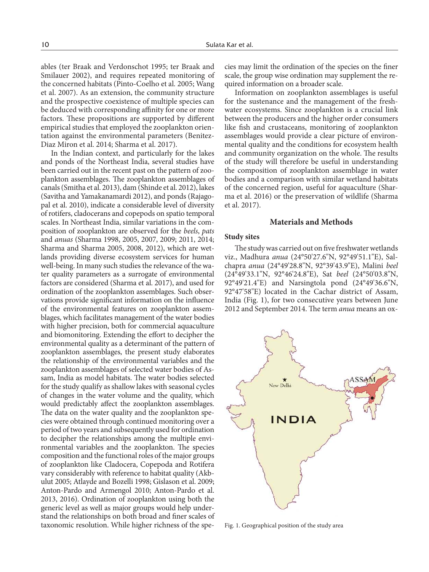ables (ter Braak and Verdonschot 1995; ter Braak and Smilauer 2002), and requires repeated monitoring of the concerned habitats (Pinto-Coelho et al. 2005; Wang et al. 2007). As an extension, the community structure and the prospective coexistence of multiple species can be deduced with corresponding affinity for one or more factors. These propositions are supported by different empirical studies that employed the zooplankton orientation against the environmental parameters (Benitez-Diaz Miron et al. 2014; Sharma et al. 2017).

In the Indian context, and particularly for the lakes and ponds of the Northeast India, several studies have been carried out in the recent past on the pattern of zooplankton assemblages. The zooplankton assemblages of canals (Smitha et al. 2013), dam (Shinde et al. 2012), lakes (Savitha and Yamakanamardi 2012), and ponds (Rajagopal et al. 2010), indicate a considerable level of diversity of rotifers, cladocerans and copepods on spatio temporal scales. In Northeast India, similar variations in the composition of zooplankton are observed for the beels, pats and anuas (Sharma 1998, 2005, 2007, 2009; 2011, 2014; Sharma and Sharma 2005, 2008, 2012), which are wetlands providing diverse ecosystem services for human well-being. In many such studies the relevance of the water quality parameters as a surrogate of environmental factors are considered (Sharma et al. 2017), and used for ordination of the zooplankton assemblages. Such observations provide significant information on the influence of the environmental features on zooplankton assemblages, which facilitates management of the water bodies with higher precision, both for commercial aquaculture and biomonitoring. Extending the effort to decipher the environmental quality as a determinant of the pattern of zooplankton assemblages, the present study elaborates the relationship of the environmental variables and the zooplankton assemblages of selected water bodies of Assam, India as model habitats. The water bodies selected for the study qualify as shallow lakes with seasonal cycles of changes in the water volume and the quality, which would predictably affect the zooplankton assemblages. The data on the water quality and the zooplankton species were obtained through continued monitoring over a period of two years and subsequently used for ordination to decipher the relationships among the multiple environmental variables and the zooplankton. The species composition and the functional roles of the major groups of zooplankton like Cladocera, Copepoda and Rotifera vary considerably with reference to habitat quality (Akbulut 2005; Atlayde and Bozelli 1998; Gislason et al. 2009; Anton-Pardo and Armengol 2010; Anton-Pardo et al. 2013, 2016). Ordination of zooplankton using both the generic level as well as major groups would help understand the relationships on both broad and finer scales of taxonomic resolution. While higher richness of the species may limit the ordination of the species on the finer scale, the group wise ordination may supplement the required information on a broader scale.

Information on zooplankton assemblages is useful for the sustenance and the management of the freshwater ecosystems. Since zooplankton is a crucial link between the producers and the higher order consumers like fish and crustaceans, monitoring of zooplankton assemblages would provide a clear picture of environmental quality and the conditions for ecosystem health and community organization on the whole. The results of the study will therefore be useful in understanding the composition of zooplankton assemblage in water bodies and a comparison with similar wetland habitats of the concerned region, useful for aquaculture (Sharma et al. 2016) or the preservation of wildlife (Sharma et al. 2017).

## **Materials and Methods**

## **Study sites**

The study was carried out on five freshwater wetlands viz., Madhura anua (24°50'27.6"N, 92°49'51.1"E), Salchapra anua (24°49'28.8"N, 92°39'43.9"E), Malini beel (24°49'33.1"N, 92°46'24.8"E), Sat beel (24°50'03.8"N, 92°49'21.4"E) and Narsingtola pond (24°49'36.6"N, 92°47'58"E) located in the Cachar district of Assam, India (Fig. 1), for two consecutive years between June 2012 and September 2014. The term anua means an ox-



Fig. 1. Geographical position of the study area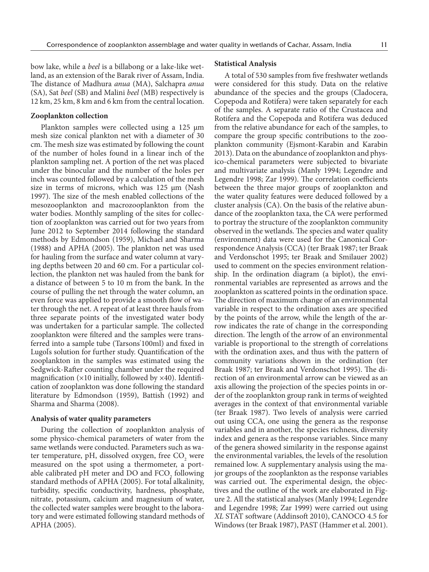bow lake, while a beel is a billabong or a lake-like wetland, as an extension of the Barak river of Assam, India. The distance of Madhura anua (MA), Salchapra anua (SA), Sat beel (SB) and Malini beel (MB) respectively is 12 km, 25 km, 8 km and 6 km from the central location.

## **Zooplankton collection**

Plankton samples were collected using a 125  $\mu$ m mesh size conical plankton net with a diameter of 30 cm. The mesh size was estimated by following the count of the number of holes found in a linear inch of the plankton sampling net. A portion of the net was placed under the binocular and the number of the holes per inch was counted followed by a calculation of the mesh size in terms of microns, which was 125  $\mu$ m (Nash 1997). The size of the mesh enabled collections of the mesozooplankton and macrozooplankton from the water bodies. Monthly sampling of the sites for collection of zooplankton was carried out for two years from June 2012 to September 2014 following the standard methods by Edmondson (1959), Michael and Sharma (1988) and APHA (2005). The plankton net was used for hauling from the surface and water column at varying depths between 20 and 60 cm. For a particular collection, the plankton net was hauled from the bank for a distance of between 5 to 10 m from the bank. In the course of pulling the net through the water column, an even force was applied to provide a smooth flow of water through the net. A repeat of at least three hauls from three separate points of the investigated water body was undertaken for a particular sample. The collected zooplankton were filtered and the samples were transferred into a sample tube (Tarsons<sup>\*</sup>100ml) and fixed in Lugol' s solution for further study. Quantification of the zooplankton in the samples was estimated using the Sedgwick-Rafter counting chamber under the required magnification ( $\times$ 10 initially, followed by  $\times$ 40). Identification of zooplankton was done following the standard literature by Edmondson (1959), Battish (1992) and Sharma and Sharma (2008).

#### **Analysis of water quality parameters**

During the collection of zooplankton analysis of some physico-chemical parameters of water from the same wetlands were conducted. Parameters such as water temperature, pH, dissolved oxygen, free  $\mathrm{CO}_2$  were measured on the spot using a thermometer, a portable calibrated pH meter and DO and  $FCO<sub>2</sub>$  following standard methods of APHA (2005). For total alkalinity, turbidity, specific conductivity, hardness, phosphate, nitrate, potassium, calcium and magnesium of water, the collected water samples were brought to the laboratory and were estimated following standard methods of APHA (2005).

## **Statistical Analysis**

A total of 530 samples from five freshwater wetlands were considered for this study. Data on the relative abundance of the species and the groups (Cladocera, Copepoda and Rotifera) were taken separately for each of the samples. A separate ratio of the Crustacea and Rotifera and the Copepoda and Rotifera was deduced from the relative abundance for each of the samples, to compare the group specific contributions to the zooplankton community (Ejsmont-Karabin and Karabin 2013). Data on the abundance of zooplankton and physico-chemical parameters were subjected to bivariate and multivariate analysis (Manly 1994; Legendre and Legendre 1998; Zar 1999). The correlation coefficients between the three major groups of zooplankton and the water quality features were deduced followed by a cluster analysis (CA). On the basis of the relative abundance of the zooplankton taxa, the CA were performed to portray the structure of the zooplankton community observed in the wetlands. The species and water quality (environment) data were used for the Canonical Correspondence Analysis (CCA) (ter Braak 1987; ter Braak and Verdonschot 1995; ter Braak and Smilauer 2002) used to comment on the species environment relationship. In the ordination diagram (a biplot), the environmental variables are represented as arrows and the zooplankton as scattered points in the ordination space. The direction of maximum change of an environmental variable in respect to the ordination axes are specified by the points of the arrow, while the length of the arrow indicates the rate of change in the corresponding direction. The length of the arrow of an environmental variable is proportional to the strength of correlations with the ordination axes, and thus with the pattern of community variations shown in the ordination (ter Braak 1987; ter Braak and Verdonschot 1995). The direction of an environmental arrow can be viewed as an axis allowing the projection of the species points in order of the zooplankton group rank in terms of weighted averages in the context of that environmental variable (ter Braak 1987). Two levels of analysis were carried out using CCA, one using the genera as the response variables and in another, the species richness, diversity index and genera as the response variables. Since many of the genera showed similarity in the response against the environmental variables, the levels of the resolution remained low. A supplementary analysis using the major groups of the zooplankton as the response variables was carried out. The experimental design, the objectives and the outline of the work are elaborated in Figure 2. All the statistical analyses (Manly 1994; Legendre and Legendre 1998; Zar 1999) were carried out using XL STAT software (Addinsoft 2010), CANOCO 4.5 for Windows (ter Braak 1987), PAST (Hammer et al. 2001).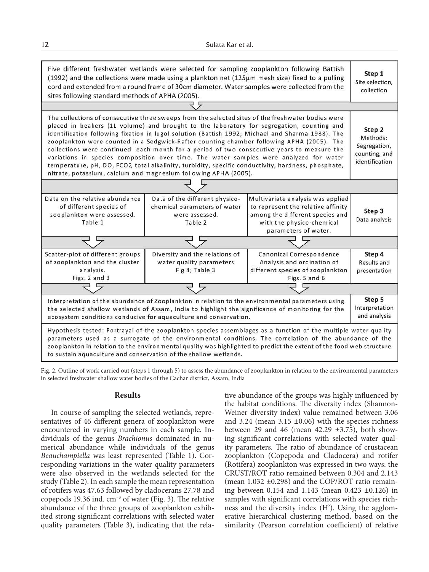

Fig. 2. Outline of work carried out (steps 1 through 5) to assess the abundance of zooplankton in relation to the environmental parameters in selected freshwater shallow water bodies of the Cachar district, Assam, India

## **Results**

In course of sampling the selected wetlands, representatives of 46 different genera of zooplankton were encountered in varying numbers in each sample. Individuals of the genus Brachionus dominated in numerical abundance while individuals of the genus Beauchampiella was least represented (Table 1). Corresponding variations in the water quality parameters were also observed in the wetlands selected for the study (Table 2). In each sample the mean representation of rotifers was 47.63 followed by cladocerans 27.78 and copepods 19.36 ind.  $cm^{-3}$  of water (Fig. 3). The relative abundance of the three groups of zooplankton exhibited strong significant correlations with selected water quality parameters (Table 3), indicating that the relative abundance of the groups was highly influenced by the habitat conditions. The diversity index (Shannon-Weiner diversity index) value remained between 3.06 and 3.24 (mean 3.15  $\pm 0.06$ ) with the species richness between 29 and 46 (mean  $42.29 \pm 3.75$ ), both showing significant correlations with selected water quality parameters. The ratio of abundance of crustacean zooplankton (Copepoda and Cladocera) and rotifer (Rotifera) zooplankton was expressed in two ways: the CRUST/ROT ratio remained between 0.304 and 2.143 (mean  $1.032 \pm 0.298$ ) and the COP/ROT ratio remaining between 0.154 and 1.143 (mean 0.423 ±0.126) in samples with significant correlations with species richness and the diversity index (H'). Using the agglomerative hierarchical clustering method, based on the similarity (Pearson correlation coefficient) of relative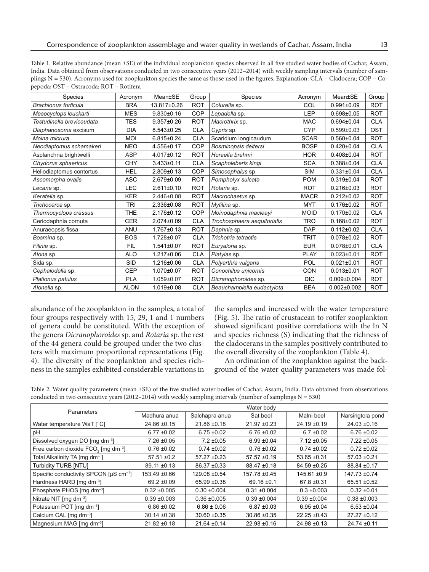Table 1. Relative abundance (mean ±SE) of the individual zooplankton species observed in all five studied water bodies of Cachar, Assam, India. Data obtained from observations conducted in two consecutive years (2012–2014) with weekly sampling intervals (number of samplings N = 530). Acronyms used for zooplankton species the same as those used in the figures. Explanation: CLA – Cladocera; COP – Copepoda; OST – Ostracoda; ROT – Rotifera

| Species                     | Acronym     | Mean±SE          | Group      | <b>Species</b>              | Acronym     | Mean±SE           | Group      |
|-----------------------------|-------------|------------------|------------|-----------------------------|-------------|-------------------|------------|
| <b>Brachionus forficula</b> | <b>BRA</b>  | 13.817±0.26      | <b>ROT</b> | Colurella sp.               | COL         | $0.991 \pm 0.09$  | <b>ROT</b> |
| Mesocyclops leuckarti       | <b>MES</b>  | $9.830 + 0.16$   | COP        | Lepadella sp.               | LEP         | $0.698 + 0.05$    | <b>ROT</b> |
| Testudinella brevicaudata   | <b>TES</b>  | $9.357 \pm 0.26$ | <b>ROT</b> | Macrothrix sp.              | <b>MAC</b>  | $0.694 \pm 0.04$  | <b>CLA</b> |
| Diaphanosoma excisum        | <b>DIA</b>  | 8.543±0.25       | <b>CLA</b> | Cypris sp.                  | <b>CYP</b>  | $0.599 + 0.03$    | OST        |
| Moina micrura               | <b>MOI</b>  | $6.815 \pm 0.24$ | <b>CLA</b> | Scaridium longicaudum       | <b>SCAR</b> | $0.560 \pm 0.04$  | <b>ROT</b> |
| Neodiaptomus schamakeri     | <b>NEO</b>  | 4.556±0.17       | <b>COP</b> | Bosminopsis deitersi        | <b>BOSP</b> | $0.420 \pm 0.04$  | <b>CLA</b> |
| Asplanchna brightwelli      | <b>ASP</b>  | 4.017±0.12       | <b>ROT</b> | Horaella brehmi             | <b>HOR</b>  | $0.408 \pm 0.04$  | <b>ROT</b> |
| Chydorus sphaericus         | <b>CHY</b>  | $3.433 \pm 0.11$ | <b>CLA</b> | Scapholeberis kingi         | <b>SCA</b>  | $0.388 + 0.04$    | <b>CLA</b> |
| Heliodiaptomus contortus    | <b>HEL</b>  | $2.809 \pm 0.13$ | COP        | Simocephalus sp.            | <b>SIM</b>  | $0.331 \pm 0.04$  | <b>CLA</b> |
| Ascomorpha ovalis           | <b>ASC</b>  | 2.679±0.09       | <b>ROT</b> | Pompholyx sulcata           | <b>POM</b>  | $0.319 \pm 0.04$  | <b>ROT</b> |
| Lecane sp.                  | <b>LEC</b>  | $2.611 \pm 0.10$ | <b>ROT</b> | Rotaria sp.                 | <b>ROT</b>  | $0.216 \pm 0.03$  | <b>ROT</b> |
| Keratella sp.               | <b>KER</b>  | 2.446±0.08       | <b>ROT</b> | Macrochaetus sp.            | <b>MACR</b> | $0.212 \pm 0.02$  | <b>ROT</b> |
| Trichocerca sp.             | <b>TRI</b>  | 2.336±0.08       | <b>ROT</b> | Mytilina sp.                | <b>MYT</b>  | $0.176 \pm 0.02$  | <b>ROT</b> |
| Thermocyclops crassus       | <b>THE</b>  | 2.176±0.12       | COP        | Moinodaphnia macleayi       | <b>MOID</b> | $0.170 \pm 0.02$  | <b>CLA</b> |
| Ceriodaphnia cornuta        | <b>CER</b>  | 2.074±0.09       | <b>CLA</b> | Trochosphaera aequitorialis | <b>TRO</b>  | $0.168 + 0.02$    | <b>ROT</b> |
| Anuraeopsis fissa           | ANU         | $1.767 \pm 0.13$ | <b>ROT</b> | Daphnia sp.                 | <b>DAP</b>  | $0.112 \pm 0.02$  | <b>CLA</b> |
| Bosmina sp.                 | <b>BOS</b>  | 1.728±0.07       | <b>CLA</b> | Trichotria tetractis        | <b>TRIT</b> | $0.078 + 0.02$    | <b>ROT</b> |
| Filinia sp.                 | <b>FIL</b>  | $1.541 \pm 0.07$ | <b>ROT</b> | Euryalona sp.               | <b>EUR</b>  | $0.078 + 0.01$    | <b>CLA</b> |
| Alona sp.                   | <b>ALO</b>  | 1.217±0.06       | <b>CLA</b> | Platyias sp.                | <b>PLAY</b> | $0.023 \pm 0.01$  | <b>ROT</b> |
| Sida sp.                    | <b>SID</b>  | 1.216±0.06       | <b>CLA</b> | Polyarthra vulgaris         | POL         | $0.021 \pm 0.01$  | <b>ROT</b> |
| Cephalodella sp.            | <b>CEP</b>  | 1.070±0.07       | <b>ROT</b> | Conochilus unicornis        | <b>CON</b>  | $0.013 \pm 0.01$  | <b>ROT</b> |
| Plationus patulus           | <b>PLA</b>  | 1.059±0.07       | <b>ROT</b> | Dicranophoroides sp.        | <b>DIC</b>  | $0.009 \pm 0.004$ | <b>ROT</b> |
| Alonella sp.                | <b>ALON</b> | $1.019 \pm 0.08$ | <b>CLA</b> | Beauchampiella eudactylota  | <b>BEA</b>  | $0.002 \pm 0.002$ | <b>ROT</b> |

abundance of the zooplankton in the samples, a total of four groups respectively with 15, 29, 1 and 1 numbers of genera could be constituted. With the exception of the genera Dicranophoroides sp. and Rotaria sp. the rest of the 44 genera could be grouped under the two clusters with maximum proportional representations (Fig. 4). The diversity of the zooplankton and species richness in the samples exhibited considerable variations in

the samples and increased with the water temperature (Fig. 5). The ratio of crustacean to rotifer zooplankton showed significant positive correlations with the ln N and species richness (S) indicating that the richness of the cladocerans in the samples positively contributed to the overall diversity of the zooplankton (Table 4).

An ordination of the zooplankton against the background of the water quality parameters was made fol-

| conducted in two consecutive years (2012–2014) with weekly sampling intervals (number of samplings $N = 530$ )                         |
|----------------------------------------------------------------------------------------------------------------------------------------|
| Table 2. Water quality parameters (mean ±SE) of the five studied water bodies of Cachar, Assam, India. Data obtained from observations |

| <b>Parameters</b>                                           | Water body       |                  |                  |                  |                  |  |  |
|-------------------------------------------------------------|------------------|------------------|------------------|------------------|------------------|--|--|
|                                                             | Madhura anua     | Salchapra anua   | Sat beel         | Malni beel       | Narsingtola pond |  |  |
| Water temperature WaT [°C]                                  | $24.86 \pm 0.15$ | $21.86 \pm 0.18$ | $21.97 \pm 0.23$ | $24.19 \pm 0.19$ | $24.03 \pm 0.16$ |  |  |
| рH                                                          | $6.77 \pm 0.02$  | $6.75 \pm 0.02$  | $6.76 \pm 0.02$  | $6.7 \pm 0.02$   | $6.76 \pm 0.02$  |  |  |
| Dissolved oxygen DO [mg dm <sup>-3</sup> ]                  | $7.26 \pm 0.05$  | $7.2 \pm 0.05$   | $6.99 \pm 0.04$  | $7.12 \pm 0.05$  | $7.22 \pm 0.05$  |  |  |
| Free carbon dioxide FCO <sub>2</sub> [mg dm <sup>-3</sup> ] | $0.76 \pm 0.02$  | $0.74 \pm 0.02$  | $0.76 \pm 0.02$  | $0.74 \pm 0.02$  | $0.72 \pm 0.02$  |  |  |
| Total Alkalinity TA [mg dm <sup>-3</sup> ]                  | $57.51 \pm 0.2$  | $57.27 \pm 0.23$ | $57.57 \pm 0.19$ | $53.65 \pm 0.31$ | $57.03 \pm 0.21$ |  |  |
| <b>Turbidity TURB [NTU]</b>                                 | 89.11 ±0.13      | $86.37 \pm 0.33$ | 88.47 ±0.18      | 84.59 ±0.25      | 88.84 ±0.17      |  |  |
| Specific conductivity SPCON [µS cm <sup>-1</sup> ]          | 153.49 ±0.66     | 129.08 ±0.54     | 157.78 ±0.45     | $145.61 \pm 0.9$ | 147.73 ±0.74     |  |  |
| Hardness HARD [mq dm <sup>-3</sup> ]                        | $69.2 \pm 0.09$  | 65.99 ±0.38      | 69.16 $±0.1$     | $67.8 \pm 0.31$  | $65.51 \pm 0.52$ |  |  |
| Phosphate PHOS [mg dm <sup>-3</sup> ]                       | $0.32 \pm 0.005$ | $0.30 \pm 0.004$ | $0.31 \pm 0.004$ | $0.3 \pm 0.003$  | $0.32 \pm 0.01$  |  |  |
| Nitrate NIT [mg dm <sup>-3</sup> ]                          | $0.39 + 0.003$   | $0.36 \pm 0.005$ | $0.39 + 0.004$   | $0.39 + 0.004$   | $0.38 + 0.003$   |  |  |
| Potassium POT [mg dm <sup>-3</sup> ]                        | $6.86 \pm 0.02$  | $6.86 \pm 0.06$  | $6.87 \pm 0.03$  | $6.95 \pm 0.04$  | $6.53 \pm 0.04$  |  |  |
| Calcium CAL [mg dm <sup>-3</sup> ]                          | $30.14 \pm 0.38$ | $30.60 + 0.35$   | $30.86 \pm 0.35$ | $22.25 \pm 0.43$ | $27.27 \pm 0.12$ |  |  |
| Magnesium MAG [mg dm <sup>-3</sup> ]                        | $21.82 \pm 0.18$ | $21.64 \pm 0.14$ | $22.98 \pm 0.16$ | $24.98 + 0.13$   | $24.74 \pm 0.11$ |  |  |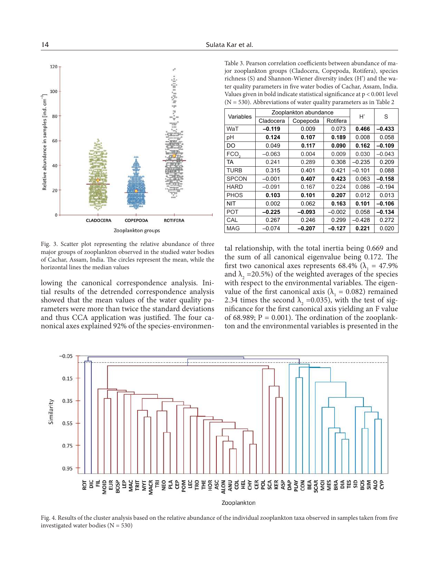

Fig. 3. Scatter plot representing the relative abundance of three major groups of zooplankton observed in the studied water bodies of Cachar, Assam, India. The circles represent the mean, while the horizontal lines the median values

lowing the canonical correspondence analysis. Initial results of the detrended correspondence analysis showed that the mean values of the water quality parameters were more than twice the standard deviations and thus CCA application was justified. The four canonical axes explained 92% of the species-environmen-

Table 3. Pearson correlation coefficients between abundance of major zooplankton groups (Cladocera, Copepoda, Rotifera), species richness (S) and Shannon-Wiener diversity index (H') and the water quality parameters in five water bodies of Cachar, Assam, India. Values given in bold indicate statistical significance at p < 0.001 level  $(N = 530)$ . Abbreviations of water quality parameters as in Table 2

| Variables        | Zooplankton abundance | H,                   | S        |          |          |  |
|------------------|-----------------------|----------------------|----------|----------|----------|--|
|                  | Cladocera             | Rotifera<br>Copepoda |          |          |          |  |
| WaT              | $-0.119$              | 0.009                | 0.073    | 0.466    | $-0.433$ |  |
| рH               | 0.124                 | 0.107                | 0.189    | 0.008    | 0.058    |  |
| DO               | 0.049                 | 0.117                | 0.090    | 0.162    | $-0.109$ |  |
| FCO <sub>2</sub> | $-0.063$              | 0.004                | 0.009    | 0.030    | $-0.043$ |  |
| TA               | 0.241                 | 0.289                | 0.308    | $-0.235$ | 0.209    |  |
| <b>TURB</b>      | 0.315                 | 0.401                | 0.421    | $-0.101$ | 0.088    |  |
| <b>SPCON</b>     | $-0.001$              | 0.407                | 0.423    | 0.063    | $-0.158$ |  |
| HARD             | $-0.091$              | 0.167                | 0.224    | 0.086    | $-0.194$ |  |
| PHOS             | 0.103                 | 0.101                | 0.207    | 0.012    | 0.013    |  |
| NIT              | 0.002                 | 0.062                | 0.163    | 0.101    | $-0.106$ |  |
| POT              | $-0.225$              | $-0.093$             | $-0.002$ | 0.058    | $-0.134$ |  |
| CAL              | 0.267                 | 0.246                | 0.299    | $-0.428$ | 0.272    |  |
| MAG              | $-0.074$              | $-0.207$             | -0.127   | 0.221    | 0.020    |  |

tal relationship, with the total inertia being 0.669 and the sum of all canonical eigenvalue being 0.172. The first two canonical axes represents 68.4%  $(\lambda_1 = 47.9\%)$ and  $\lambda_2$  =20.5%) of the weighted averages of the species with respect to the environmental variables. The eigenvalue of the first canonical axis ( $\lambda_1 = 0.082$ ) remained 2.34 times the second  $\lambda_2$  =0.035), with the test of significance for the first canonical axis yielding an F value of 68.989;  $P = 0.001$ ). The ordination of the zooplankton and the environmental variables is presented in the



Fig. 4. Results of the cluster analysis based on the relative abundance of the individual zooplankton taxa observed in samples taken from five investigated water bodies  $(N = 530)$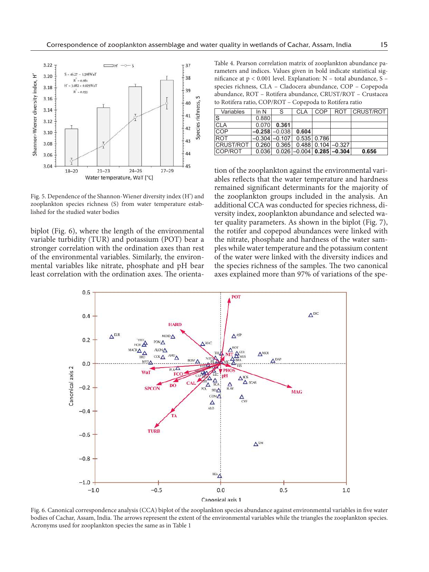

Fig. 5. Dependence of the Shannon-Wiener diversity index (H') and zooplankton species richness (S) from water temperature established for the studied water bodies

biplot (Fig. 6), where the length of the environmental variable turbidity (TUR) and potassium (POT) bear a stronger correlation with the ordination axes than rest of the environmental variables. Similarly, the environmental variables like nitrate, phosphate and pH bear least correlation with the ordination axes. The orienta-

Table 4. Pearson correlation matrix of zooplankton abundance parameters and indices. Values given in bold indicate statistical significance at p < 0.001 level. Explanation: N – total abundance, S – species richness, CLA – Cladocera abundance, COP – Copepoda abundance, ROT – Rotifera abundance, CRUST/ROT – Crustacea to Rotifera ratio, COP/ROT – Copepoda to Rotifera ratio

| Variables        | In $N$ | S                 | <b>CLA</b>                        | COP |                       | ROT CRUST/ROT |
|------------------|--------|-------------------|-----------------------------------|-----|-----------------------|---------------|
| S                | 0.880  |                   |                                   |     |                       |               |
| <b>CLA</b>       | 0.070  | 0.361             |                                   |     |                       |               |
| COP              |        | $-0.258$ $-0.038$ | 0.604                             |     |                       |               |
| <b>ROT</b>       |        |                   | $-0.304$ $-0.107$   0.535   0.786 |     |                       |               |
| <b>CRUST/ROT</b> | 0.260  | 0.365             |                                   |     | $0.488$ 0.104 - 0.327 |               |
| COP/ROT          | 0.036  |                   | $0.026$ -0.004   0.285   -0.304   |     |                       | 0.656         |

tion of the zooplankton against the environmental variables reflects that the water temperature and hardness remained significant determinants for the majority of the zooplankton groups included in the analysis. An additional CCA was conducted for species richness, diversity index, zooplankton abundance and selected water quality parameters. As shown in the biplot (Fig. 7), the rotifer and copepod abundances were linked with the nitrate, phosphate and hardness of the water samples while water temperature and the potassium content of the water were linked with the diversity indices and the species richness of the samples. The two canonical axes explained more than 97% of variations of the spe-



Fig. 6. Canonical correspondence analysis (CCA) biplot of the zooplankton species abundance against environmental variables in five water bodies of Cachar, Assam, India. The arrows represent the extent of the environmental variables while the triangles the zooplankton species. Acronyms used for zooplankton species the same as in Table 1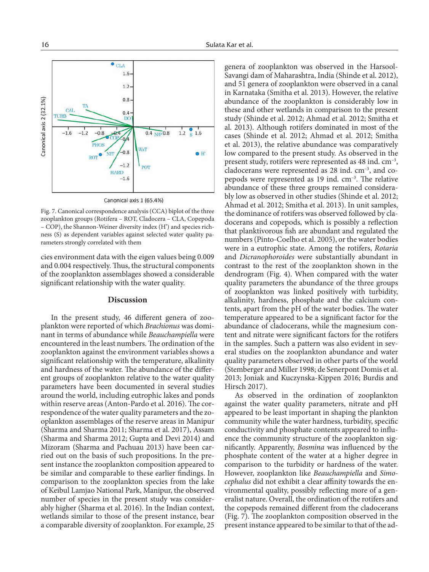

Canonical axis 1 (65.4%)

Fig. 7. Canonical correspondence analysis (CCA) biplot of the three zooplankton groups (Rotifera – ROT, Cladocera – CLA, Copepoda – COP), the Shannon-Weiner diversity index (H') and species richness (S) as dependent variables against selected water quality parameters strongly correlated with them

cies environment data with the eigen values being 0.009 and 0.004 respectively. Thus, the structural components of the zooplankton assemblages showed a considerable significant relationship with the water quality.

#### **Discussion**

In the present study, 46 different genera of zooplankton were reported of which Brachionus was dominant in terms of abundance while Beauchampiella were encountered in the least numbers. The ordination of the zooplankton against the environment variables shows a significant relationship with the temperature, alkalinity and hardness of the water. The abundance of the different groups of zooplankton relative to the water quality parameters have been documented in several studies around the world, including eutrophic lakes and ponds within reserve areas (Anton-Pardo et al. 2016). The correspondence of the water quality parameters and the zooplankton assemblages of the reserve areas in Manipur (Sharma and Sharma 2011; Sharma et al. 2017), Assam (Sharma and Sharma 2012; Gupta and Devi 2014) and Mizoram (Sharma and Pachuau 2013) have been carried out on the basis of such propositions. In the present instance the zooplankton composition appeared to be similar and comparable to these earlier findings. In comparison to the zooplankton species from the lake of Keibul Lamjao National Park, Manipur, the observed number of species in the present study was considerably higher (Sharma et al. 2016). In the Indian context, wetlands similar to those of the present instance, bear a comparable diversity of zooplankton. For example, 25 genera of zooplankton was observed in the Harsool-Savangi dam of Maharashtra, India (Shinde et al. 2012), and 51 genera of zooplankton were observed in a canal in Karnataka (Smitha et al. 2013). However, the relative abundance of the zooplankton is considerably low in these and other wetlands in comparison to the present study (Shinde et al. 2012; Ahmad et al. 2012; Smitha et al. 2013). Although rotifers dominated in most of the cases (Shinde et al. 2012; Ahmad et al. 2012; Smitha et al. 2013), the relative abundance was comparatively low compared to the present study. As observed in the present study, rotifers were represented as 48 ind. cm<sup>-3</sup>, cladocerans were represented as 28 ind. cm–3, and copepods were represented as 19 ind. cm–3. The relative abundance of these three groups remained considerably low as observed in other studies (Shinde et al. 2012; Ahmad et al. 2012; Smitha et al. 2013). In unit samples, the dominance of rotifers was observed followed by cladocerans and copepods, which is possibly a reflection that planktivorous fish are abundant and regulated the numbers (Pinto-Coelho et al. 2005), or the water bodies were in a eutrophic state. Among the rotifers, Rotaria and Dicranophoroides were substantially abundant in contrast to the rest of the zooplankton shown in the dendrogram (Fig. 4). When compared with the water quality parameters the abundance of the three groups of zooplankton was linked positively with turbidity, alkalinity, hardness, phosphate and the calcium contents, apart from the pH of the water bodies. The water temperature appeared to be a significant factor for the abundance of cladocerans, while the magnesium content and nitrate were significant factors for the rotifers in the samples. Such a pattern was also evident in several studies on the zooplankton abundance and water quality parameters observed in other parts of the world (Stemberger and Miller 1998; de Senerpont Domis et al. 2013; Joniak and Kuczynska-Kippen 2016; Burdis and Hirsch 2017).

As observed in the ordination of zooplankton against the water quality parameters, nitrate and pH appeared to be least important in shaping the plankton community while the water hardness, turbidity, specific conductivity and phosphate contents appeared to influence the community structure of the zooplankton significantly. Apparently, Bosmina was influenced by the phosphate content of the water at a higher degree in comparison to the turbidity or hardness of the water. However, zooplankton like Beauchampiella and Simocephalus did not exhibit a clear affinity towards the environmental quality, possibly reflecting more of a generalist nature. Overall, the ordination of the rotifers and the copepods remained different from the cladocerans (Fig. 7). The zooplankton composition observed in the present instance appeared to be similar to that of the ad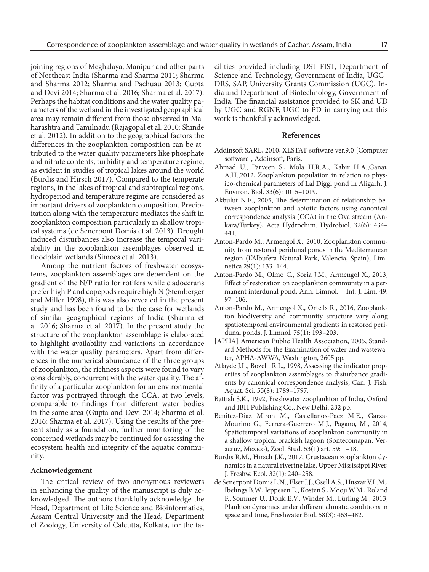joining regions of Meghalaya, Manipur and other parts of Northeast India (Sharma and Sharma 2011; Sharma and Sharma 2012; Sharma and Pachuau 2013; Gupta and Devi 2014; Sharma et al. 2016; Sharma et al. 2017). Perhaps the habitat conditions and the water quality parameters of the wetland in the investigated geographical area may remain different from those observed in Maharashtra and Tamilnadu (Rajagopal et al. 2010; Shinde et al. 2012). In addition to the geographical factors the differences in the zooplankton composition can be attributed to the water quality parameters like phosphate and nitrate contents, turbidity and temperature regime, as evident in studies of tropical lakes around the world (Burdis and Hirsch 2017). Compared to the temperate regions, in the lakes of tropical and subtropical regions, hydroperiod and temperature regime are considered as important drivers of zooplankton composition. Precipitation along with the temperature mediates the shift in zooplankton composition particularly in shallow tropical systems (de Senerpont Domis et al. 2013). Drought induced disturbances also increase the temporal variability in the zooplankton assemblages observed in floodplain wetlands (Simoes et al. 2013).

Among the nutrient factors of freshwater ecosystems, zooplankton assemblages are dependent on the gradient of the N/P ratio for rotifers while cladocerans prefer high P and copepods require high N (Stemberger and Miller 1998), this was also revealed in the present study and has been found to be the case for wetlands of similar geographical regions of India (Sharma et al. 2016; Sharma et al. 2017). In the present study the structure of the zooplankton assemblage is elaborated to highlight availability and variations in accordance with the water quality parameters. Apart from differences in the numerical abundance of the three groups of zooplankton, the richness aspects were found to vary considerably, concurrent with the water quality. The affinity of a particular zooplankton for an environmental factor was portrayed through the CCA, at two levels, comparable to findings from different water bodies in the same area (Gupta and Devi 2014; Sharma et al. 2016; Sharma et al. 2017). Using the results of the present study as a foundation, further monitoring of the concerned wetlands may be continued for assessing the ecosystem health and integrity of the aquatic community.

## **Acknowledgement**

The critical review of two anonymous reviewers in enhancing the quality of the manuscript is duly acknowledged. The authors thankfully acknowledge the Head, Department of Life Science and Bioinformatics, Assam Central University and the Head, Department of Zoology, University of Calcutta, Kolkata, for the facilities provided including DST-FIST, Department of Science and Technology, Government of India, UGC– DRS, SAP, University Grants Commission (UGC), India and Department of Biotechnology, Government of India. The financial assistance provided to SK and UD by UGC and RGNF, UGC to PD in carrying out this work is thankfully acknowledged.

#### **References**

- Addinsoft SARL, 2010, XLSTAT software ver.9.0 [Computer software], Addinsoft, Paris.
- Ahmad U., Parveen S., Mola H.R.A., Kabir H.A.,Ganai, A.H.,2012, Zooplankton population in relation to physico-chemical parameters of Lal Diggi pond in Aligarh, J. Environ. Biol. 33(6): 1015–1019.
- Akbulut N.E., 2005, The determination of relationship between zooplankton and abiotic factors using canonical correspondence analysis (CCA) in the Ova stream (Ankara/Turkey), Acta Hydrochim. Hydrobiol. 32(6): 434– 441.
- Anton-Pardo M., Armengol X., 2010, Zooplankton community from restored peridunal ponds in the Mediterranean region (L'Albufera Natural Park, Valencia, Spain), Limnetica 29(1): 133–144.
- Anton-Pardo M., Olmo C., Soria J.M., Armengol X., 2013, Effect of restoration on zooplankton community in a permanent interdunal pond, Ann. Limnol. – Int. J. Lim. 49: 97–106.
- Anton-Pardo M., Armengol X., Ortells R., 2016, Zooplankton biodiversity and community structure vary along spatiotemporal environmental gradients in restored peridunal ponds, J. Limnol. 75(1): 193–203.
- [APHA] American Public Health Association, 2005, Standard Methods for the Examination of water and wastewater, APHA-AWWA, Washington, 2605 pp.
- Atlayde J.L., Bozelli R.L., 1998, Assessing the indicator properties of zooplankton assemblages to disturbance gradients by canonical correspondence analysis, Can. J. Fish. Aquat. Sci. 55(8): 1789–1797.
- Battish S.K., 1992, Freshwater zooplankton of India, Oxford and IBH Publishing Co., New Delhi, 232 pp.
- Benitez-Diaz Miron M., Castellanos-Paez M.E., Garza-Mourino G., Ferrera-Guerrero M.J., Pagano, M., 2014, Spatiotemporal variations of zooplankton community in a shallow tropical brackish lagoon (Sontecomapan, Veracruz, Mexico), Zool. Stud. 53(1) art. 59: 1–18.
- Burdis R.M., Hirsch J.K., 2017, Crustacean zooplankton dynamics in a natural riverine lake, Upper Mississippi River, J. Freshw. Ecol. 32(1): 240–258.
- de Senerpont Domis L.N., Elser J.J., Gsell A.S., Huszar V.L.M., Ibelings B.W., Jeppesen E., Kosten S., Mooji W.M., Roland F., Sommer U., Donk E.V., Winder M., Lürling M., 2013, Plankton dynamics under different climatic conditions in space and time, Freshwater Biol. 58(3): 463–482.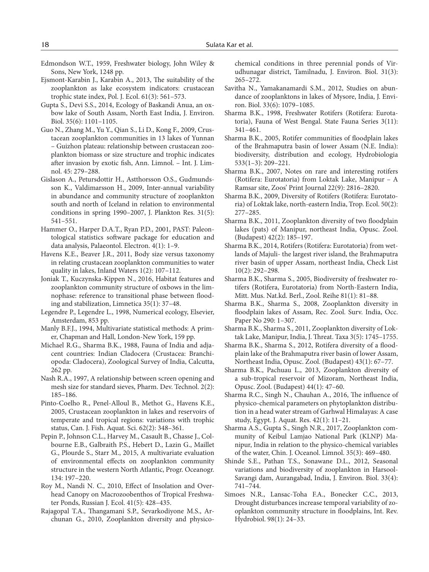- Edmondson W.T., 1959, Freshwater biology, John Wiley & Sons, New York, 1248 pp.
- Ejsmont-Karabin J., Karabin A., 2013, The suitability of the zooplankton as lake ecosystem indicators: crustacean trophic state index, Pol. J. Ecol. 61(3): 561–573.
- Gupta S., Devi S.S., 2014, Ecology of Baskandi Anua, an oxbow lake of South Assam, North East India, J. Environ. Biol. 35(6): 1101–1105.
- Guo N., Zhang M., Yu Y., Qian S., Li D., Kong F., 2009, Crustacean zooplankton communities in 13 lakes of Yunnan – Guizhon plateau: relationship between crustacean zooplankton biomass or size structure and trophic indicates after invasion by exotic fish, Ann. Limnol. – Int. J. Limnol. 45: 279–288.
- Gislason A., Petursdottir H., Astthorsson O.S., Gudmundsson K., Valdimarsson H., 2009, Inter-annual variability in abundance and community structure of zooplankton south and north of Iceland in relation to environmental conditions in spring 1990–2007, J. Plankton Res. 31(5): 541–551.
- Hammer O., Harper D.A.T., Ryan P.D., 2001, PAST: Paleontological statistics software package for education and data analysis, Palaeontol. Electron. 4(1): 1–9.
- Havens K.E., Beaver J.R., 2011, Body size versus taxonomy in relating crustacean zooplankton communities to water quality in lakes, Inland Waters 1(2): 107–112.
- Joniak T., Kuczynska-Kippen N., 2016, Habitat features and zooplankton community structure of oxbows in the limnophase: reference to transitional phase between flooding and stabilization, Limnetica 35(1): 37–48.
- Legendre P., Legendre L., 1998, Numerical ecology, Elsevier, Amsterdam, 853 pp.
- Manly B.F.J., 1994, Multivariate statistical methods: A primer, Chapman and Hall, London-New York, 159 pp.
- Michael R.G., Sharma B.K., 1988, Fauna of India and adjacent countries: Indian Cladocera (Crustacea: Branchiopoda: Cladocera), Zoological Survey of India, Calcutta, 262 pp.
- Nash R.A., 1997, A relationship between screen opening and mesh size for standard sieves, Pharm. Dev. Technol. 2(2): 185–186.
- Pinto-Coelho R., Penel-Alloul B., Methot G., Havens K.E., 2005, Crustacean zooplankton in lakes and reservoirs of temperate and tropical regions: variations with trophic status, Can. J. Fish. Aquat. Sci. 62(2): 348–361.
- Pepin P., Johnson C.L., Harvey M., Casault B., Chasse J., Colbourne E.B., Galbraith P.S., Hebert D., Lazin G., Maillet G., Plourde S., Starr M., 2015, A multivariate evaluation of environmental effects on zooplankton community structure in the western North Atlantic, Progr. Oceanogr. 134: 197–220.
- Roy M., Nandi N. C., 2010, Effect of Insolation and Overhead Canopy on Macrozoobenthos of Tropical Freshwater Ponds, Russian J. Ecol. 41(5): 428–435.
- Rajagopal T.A., Thangamani S.P., Sevarkodiyone M.S., Archunan G., 2010, Zooplankton diversity and physico-

chemical conditions in three perennial ponds of Virudhunagar district, Tamilnadu, J. Environ. Biol. 31(3): 265–272.

- Savitha N., Yamakanamardi S.M., 2012, Studies on abundance of zooplanktons in lakes of Mysore, India, J. Environ. Biol. 33(6): 1079–1085.
- Sharma B.K., 1998, Freshwater Rotifers (Rotifera: Eurotatoria), Fauna of West Bengal. State Fauna Series 3(11): 341–461.
- Sharma B.K., 2005, Rotifer communities of floodplain lakes of the Brahmaputra basin of lower Assam (N.E. India): biodiversity, distribution and ecology, Hydrobiologia 533(1–3): 209–221.
- Sharma B.K., 2007, Notes on rare and interesting rotifers (Rotifera: Eurotatoria) from Loktak Lake, Manipur – A Ramsar site, Zoos' Print Journal 22(9): 2816–2820.
- Sharma B.K., 2009, Diversity of Rotifers (Rotifera: Eurotatoria) of Loktak lake, north-eastern India, Trop. Ecol. 50(2): 277–285.
- Sharma B.K., 2011, Zooplankton diversity of two floodplain lakes (pats) of Manipur, northeast India, Opusc. Zool. (Budapest) 42(2): 185–197.
- Sharma B.K., 2014, Rotifers (Rotifera: Eurotatoria) from wetlands of Majuli- the largest river island, the Brahmaputra river basin of upper Assam, northeast India, Check List 10(2): 292–298.
- Sharma B.K., Sharma S., 2005, Biodiversity of freshwater rotifers (Rotifera, Eurotatoria) from North-Eastern India, Mitt. Mus. Nat.kd. Berl., Zool. Reihe 81(1): 81–88.
- Sharma B.K., Sharma S., 2008, Zooplankton diversity in floodplain lakes of Assam, Rec. Zool. Surv. India, Occ. Paper No 290: 1–307.
- Sharma B.K., Sharma S., 2011, Zooplankton diversity of Loktak Lake, Manipur, India, J. Threat. Taxa 3(5): 1745–1755.
- Sharma B.K., Sharma S., 2012, Rotifera diversity of a floodplain lake of the Brahmaputra river basin of lower Assam, Northeast India, Opusc. Zool. (Budapest) 43(1): 67–77.
- Sharma B.K., Pachuau L., 2013, Zooplankton diversity of a sub-tropical reservoir of Mizoram, Northeast India, Opusc. Zool. (Budapest) 44(1): 47–60.
- Sharma R.C., Singh N., Chauhan A., 2016, The influence of physico-chemical parameters on phytoplankton distribution in a head water stream of Garhwal Himalayas: A case study, Egypt. J. Aquat. Res. 42(1): 11–21.
- Sharma A.S., Gupta S., Singh N.R., 2017, Zooplankton community of Keibul Lamjao National Park (KLNP) Manipur, India in relation to the physico-chemical variables of the water, Chin. J. Oceanol. Limnol. 35(3): 469–480.
- Shinde S.E., Pathan T.S., Sonawane D.L., 2012, Seasonal variations and biodiversity of zooplankton in Harsool-Savangi dam, Aurangabad, India, J. Environ. Biol. 33(4): 741–744.
- Simoes N.R., Lansac-Toha F.A., Bonecker C.C., 2013, Drought disturbances increase temporal variability of zooplankton community structure in floodplains, Int. Rev. Hydrobiol. 98(1): 24–33.